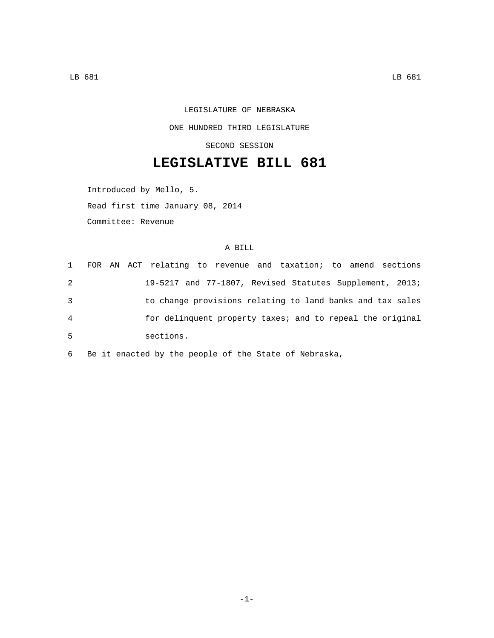LEGISLATURE OF NEBRASKA ONE HUNDRED THIRD LEGISLATURE SECOND SESSION

## **LEGISLATIVE BILL 681**

Introduced by Mello, 5.

Read first time January 08, 2014

Committee: Revenue

## A BILL

| $\mathbf{1}$ | FOR AN ACT relating to revenue and taxation; to amend sections |
|--------------|----------------------------------------------------------------|
| 2            | 19-5217 and 77-1807, Revised Statutes Supplement, 2013;        |
| 3            | to change provisions relating to land banks and tax sales      |
| 4            | for delinguent property taxes; and to repeal the original      |
| 5            | sections.                                                      |

6 Be it enacted by the people of the State of Nebraska,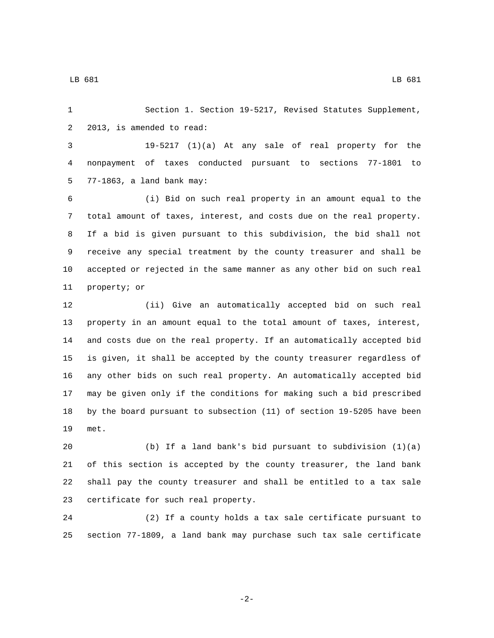Section 1. Section 19-5217, Revised Statutes Supplement, 2 2013, is amended to read:

 19-5217 (1)(a) At any sale of real property for the nonpayment of taxes conducted pursuant to sections 77-1801 to 77-1863, a land bank may:5

 (i) Bid on such real property in an amount equal to the total amount of taxes, interest, and costs due on the real property. If a bid is given pursuant to this subdivision, the bid shall not receive any special treatment by the county treasurer and shall be accepted or rejected in the same manner as any other bid on such real 11 property; or

 (ii) Give an automatically accepted bid on such real property in an amount equal to the total amount of taxes, interest, and costs due on the real property. If an automatically accepted bid is given, it shall be accepted by the county treasurer regardless of any other bids on such real property. An automatically accepted bid may be given only if the conditions for making such a bid prescribed by the board pursuant to subsection (11) of section 19-5205 have been 19 met.

 (b) If a land bank's bid pursuant to subdivision (1)(a) of this section is accepted by the county treasurer, the land bank shall pay the county treasurer and shall be entitled to a tax sale 23 certificate for such real property.

 (2) If a county holds a tax sale certificate pursuant to section 77-1809, a land bank may purchase such tax sale certificate

LB 681 LB 681

-2-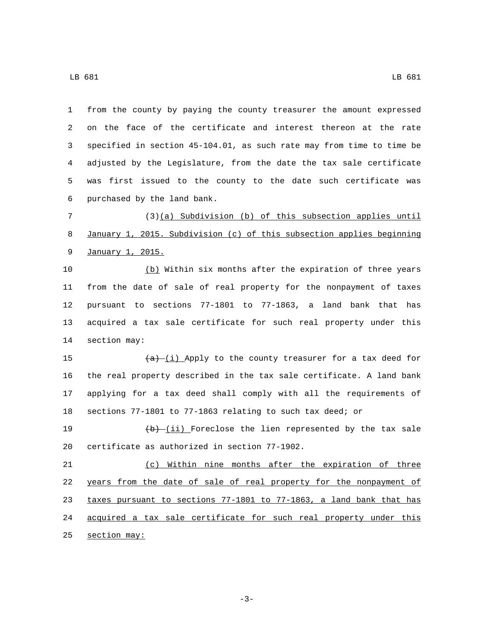from the county by paying the county treasurer the amount expressed on the face of the certificate and interest thereon at the rate specified in section 45-104.01, as such rate may from time to time be adjusted by the Legislature, from the date the tax sale certificate was first issued to the county to the date such certificate was 6 purchased by the land bank.

 (3)(a) Subdivision (b) of this subsection applies until January 1, 2015. Subdivision (c) of this subsection applies beginning 9 January 1, 2015.

 (b) Within six months after the expiration of three years from the date of sale of real property for the nonpayment of taxes pursuant to sections 77-1801 to 77-1863, a land bank that has acquired a tax sale certificate for such real property under this 14 section may:

 $(a)$   $(i)$  Apply to the county treasurer for a tax deed for the real property described in the tax sale certificate. A land bank applying for a tax deed shall comply with all the requirements of sections 77-1801 to 77-1863 relating to such tax deed; or

19  $(b)$   $(i)$  Foreclose the lien represented by the tax sale 20 certificate as authorized in section 77-1902.

 (c) Within nine months after the expiration of three years from the date of sale of real property for the nonpayment of taxes pursuant to sections 77-1801 to 77-1863, a land bank that has acquired a tax sale certificate for such real property under this section may:

LB 681 LB 681

-3-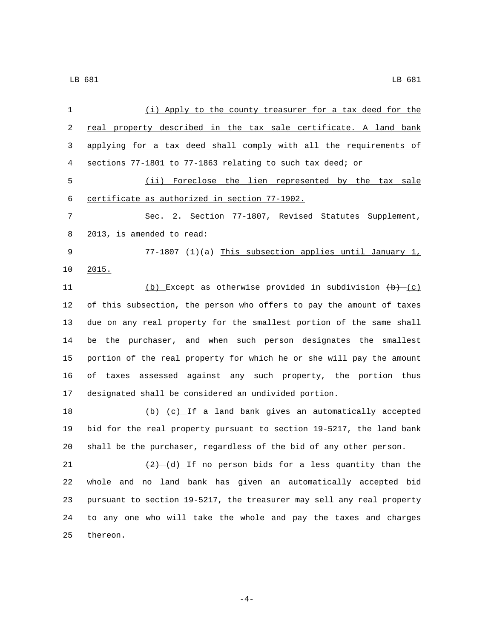| 1  | (i) Apply to the county treasurer for a tax deed for the              |
|----|-----------------------------------------------------------------------|
| 2  | real property described in the tax sale certificate. A land bank      |
| 3  | applying for a tax deed shall comply with all the requirements of     |
| 4  | sections 77-1801 to 77-1863 relating to such tax deed; or             |
| 5  | (ii) Foreclose the lien represented by the tax sale                   |
| 6  | certificate as authorized in section 77-1902.                         |
| 7  | Sec. 2. Section 77-1807, Revised Statutes Supplement,                 |
| 8  | 2013, is amended to read:                                             |
| 9  | 77-1807 (1)(a) This subsection applies until January 1,               |
| 10 | 2015.                                                                 |
| 11 | (b) Except as otherwise provided in subdivision $(b) - (c)$           |
| 12 | of this subsection, the person who offers to pay the amount of taxes  |
| 13 | due on any real property for the smallest portion of the same shall   |
| 14 | be the purchaser, and when such person designates the smallest        |
| 15 | portion of the real property for which he or she will pay the amount  |
| 16 | assessed against any such property, the portion thus<br>оf<br>taxes   |
| 17 | designated shall be considered an undivided portion.                  |
| 18 | $(b)$ (c) If a land bank gives an automatically accepted              |
| 19 | bid for the real property pursuant to section 19-5217, the land bank  |
| 20 | shall be the purchaser, regardless of the bid of any other person.    |
| 21 | $(2)$ $(d)$ If no person bids for a less quantity than the            |
| 22 | whole and no land bank has given an automatically accepted bid        |
| 23 | pursuant to section 19-5217, the treasurer may sell any real property |
| 24 | to any one who will take the whole and pay the taxes and charges      |
| 25 | thereon.                                                              |

 $-4-$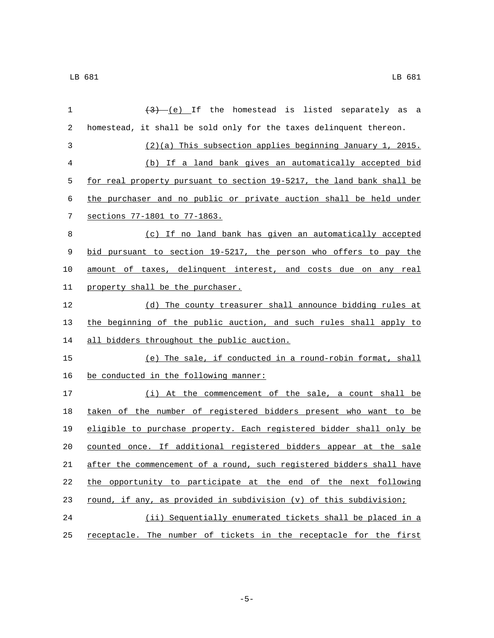| $\mathbf 1$ | $(3)$ (e) If the homestead is listed separately as<br>a               |
|-------------|-----------------------------------------------------------------------|
| 2           | homestead, it shall be sold only for the taxes delinquent thereon.    |
| 3           | (2)(a) This subsection applies beginning January 1, 2015.             |
| 4           | (b) If a land bank gives an automatically accepted bid                |
| 5           | for real property pursuant to section 19-5217, the land bank shall be |
| 6           | the purchaser and no public or private auction shall be held under    |
| 7           | sections 77-1801 to 77-1863.                                          |
| 8           | (c) If no land bank has given an automatically accepted               |
| 9           | bid pursuant to section 19-5217, the person who offers to pay the     |
| 10          | amount of taxes, delinquent interest, and costs due on any real       |
| 11          | property shall be the purchaser.                                      |
| 12          | (d) The county treasurer shall announce bidding rules at              |
| 13          | the beginning of the public auction, and such rules shall apply to    |
| 14          | all bidders throughout the public auction.                            |
| 15          | (e) The sale, if conducted in a round-robin format, shall             |
| 16          | be conducted in the following manner:                                 |
| 17          | (i) At the commencement of the sale, a count shall be                 |
| 18          | taken of the number of registered bidders present who want to be      |
| 19          | eligible to purchase property. Each registered bidder shall only be   |
| 20          | counted once. If additional registered bidders appear at the sale     |
| 21          | after the commencement of a round, such registered bidders shall have |
| 22          | the opportunity to participate at the end of the next following       |
| 23          | round, if any, as provided in subdivision (v) of this subdivision;    |
| 24          | (ii) Sequentially enumerated tickets shall be placed in a             |
| 25          | receptacle. The number of tickets in the receptacle for the first     |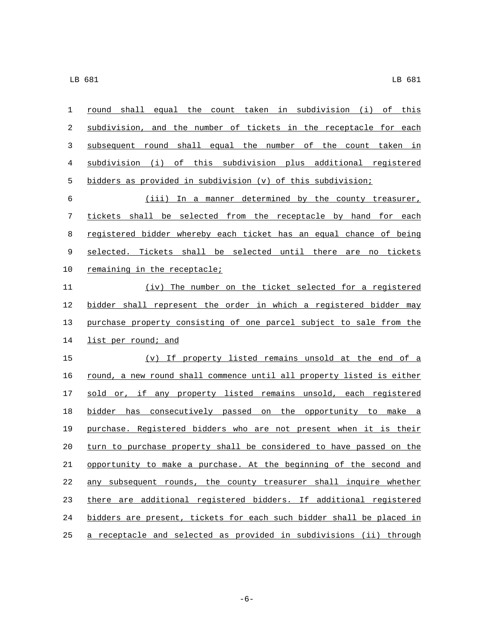| 1  | round shall equal the count taken in subdivision (i) of this          |
|----|-----------------------------------------------------------------------|
| 2  | subdivision, and the number of tickets in the receptacle for each     |
| 3  | subsequent round shall equal the number of the count taken in         |
| 4  | subdivision (i) of this subdivision plus additional registered        |
| 5  | bidders as provided in subdivision (v) of this subdivision;           |
| 6  | (iii) In a manner determined by the county treasurer,                 |
| 7  | tickets shall be selected from the receptacle by hand for each        |
| 8  | registered bidder whereby each ticket has an equal chance of being    |
| 9  | selected. Tickets shall be selected until there are no tickets        |
| 10 | remaining in the receptacle;                                          |
| 11 | (iv) The number on the ticket selected for a registered               |
| 12 | bidder shall represent the order in which a registered bidder may     |
| 13 | purchase property consisting of one parcel subject to sale from the   |
| 14 | list per round; and                                                   |
| 15 | (v) If property listed remains unsold at the end of a                 |
| 16 | round, a new round shall commence until all property listed is either |
| 17 | sold or, if any property listed remains unsold, each registered       |
| 18 | bidder has consecutively passed on the opportunity to make a          |
| 19 | purchase. Registered bidders who are not present when it is their     |
| 20 | turn to purchase property shall be considered to have passed on the   |
| 21 | opportunity to make a purchase. At the beginning of the second and    |
| 22 | any subsequent rounds, the county treasurer shall inquire whether     |
| 23 | there are additional registered bidders. If additional registered     |
| 24 | bidders are present, tickets for each such bidder shall be placed in  |
| 25 | a receptacle and selected as provided in subdivisions (ii) through    |